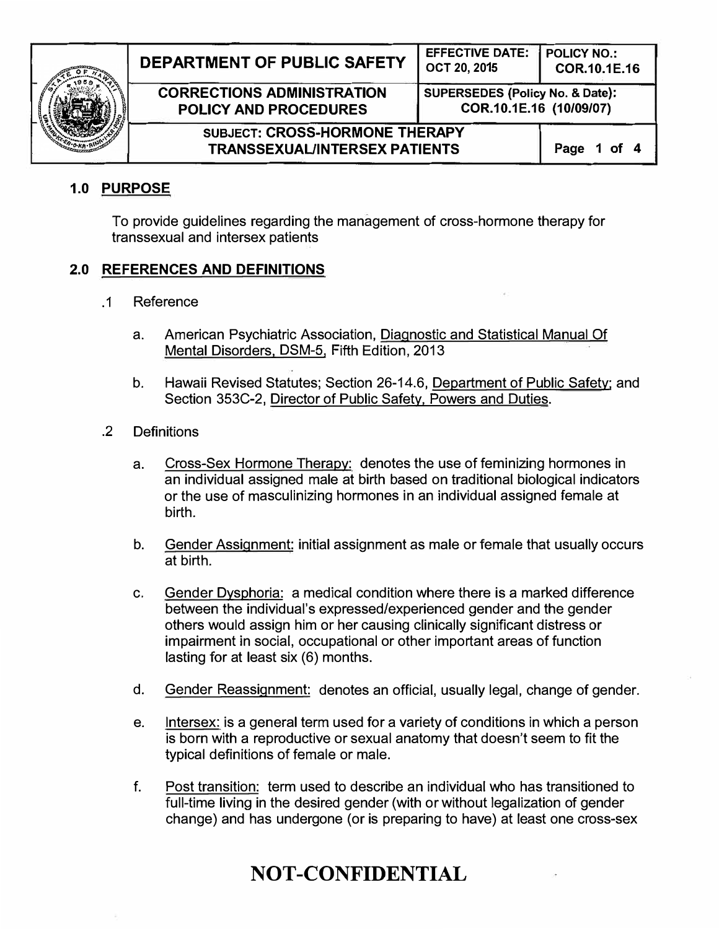

| DEPARTMENT OF PUBLIC SAFETY                                            | <b>EFFECTIVE DATE:</b><br>OCT 20, 2015                     | <b>POLICY NO.:</b><br>COR.10.1E.16 |
|------------------------------------------------------------------------|------------------------------------------------------------|------------------------------------|
| <b>CORRECTIONS ADMINISTRATION</b><br><b>POLICY AND PROCEDURES</b>      | SUPERSEDES (Policy No. & Date):<br>COR.10.1E.16 (10/09/07) |                                    |
| SUBJECT: CROSS-HORMONE THERAPY<br><b>TRANSSEXUAL/INTERSEX PATIENTS</b> |                                                            | Page 1 of 4                        |

## 1.0 PURPOSE

To provide guidelines regarding the management of cross-hormone therapy for transsexual and intersex patients

## 2.0 REFERENCES AND DEFINITIONS

- .1 Reference
	- a. American Psychiatric Association, Diagnostic and Statistical Manual Of Mental Disorders. DSM-5, Fifth Edition, 2013
	- b. Hawaii Revised Statutes; Section 26-14.6, Department of Public Safety: and Section 353C-2, Director of Public Safety, Powers and Duties.
- . 2 Definitions
	- a. Cross-Sex Hormone Therapy: denotes the use of feminizing hormones in an individual assigned male at birth based on traditional biological indicators or the use of masculinizing hormones in an individual assigned female at birth.
	- b. Gender Assignment: initial assignment as male or female that usually occurs at birth.
	- c. Gender Dysphoria: a medical condition where there is a marked difference between the individual's expressed/experienced gender and the gender others would assign him or her causing clinically significant distress or impairment in social, occupational or other important areas of function lasting for at least six (6) months.
	- d. Gender Reassignment: denotes an official, usually legal, change of gender.
	- e. lntersex: is a general term used for a variety of conditions in which a person is born with a reproductive or sexual anatomy that doesn't seem to fit the typical definitions of female or male.
	- f. Post transition: term used to describe an individual who has transitioned to full-time living in the desired gender (with or without legalization of gender change) and has undergone (or is preparing to have) at least one cross-sex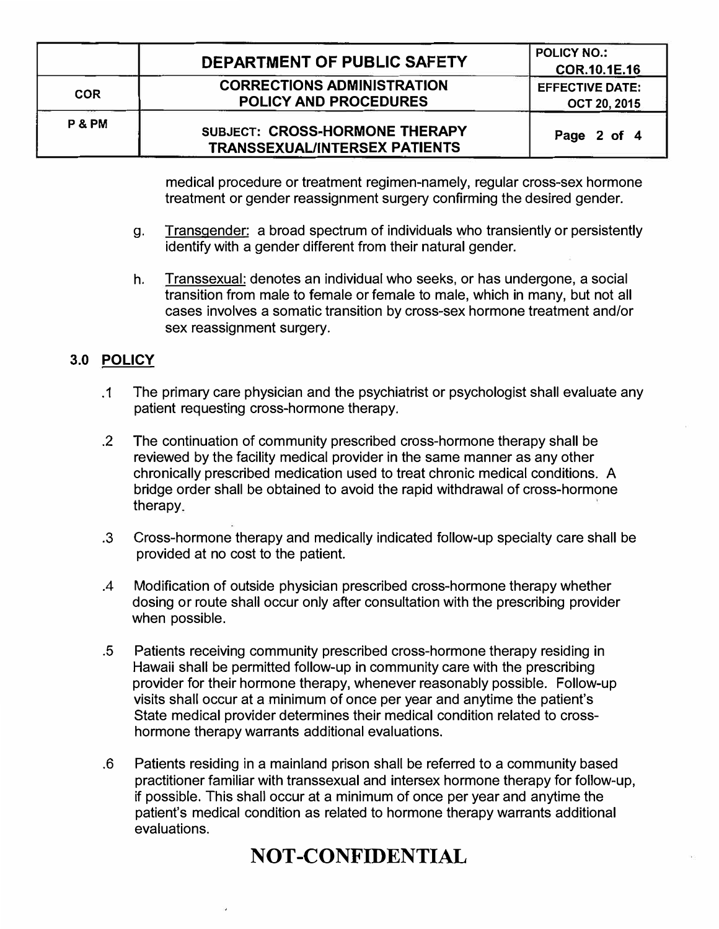|                 | DEPARTMENT OF PUBLIC SAFETY                                            | <b>POLICY NO.:</b><br>COR.10.1E.16            |
|-----------------|------------------------------------------------------------------------|-----------------------------------------------|
| <b>COR</b>      | <b>CORRECTIONS ADMINISTRATION</b><br><b>POLICY AND PROCEDURES</b>      | <b>EFFECTIVE DATE:</b><br><b>OCT 20, 2015</b> |
| <b>P&amp;PM</b> | SUBJECT: CROSS-HORMONE THERAPY<br><b>TRANSSEXUAL/INTERSEX PATIENTS</b> | Page 2 of 4                                   |

medical procedure or treatment regimen-namely, regular cross-sex hormone treatment or gender reassignment surgery confirming the desired gender.

- g. Transgender: a broad spectrum of individuals who transiently or persistently identify with a gender different from their natural gender.
- h. Transsexual: denotes an individual who seeks, or has undergone, a social transition from male to female or female to male, which in many, but not all cases involves a somatic transition by cross-sex hormone treatment and/or sex reassignment surgery.

## 3.0 POLICY

- .1 The primary care physician and the psychiatrist or psychologist shall evaluate any patient requesting cross-hormone therapy.
- . 2 The continuation of community prescribed cross-hormone therapy shall be reviewed by the facility medical provider in the same manner as any other chronically prescribed medication used to treat chronic medical conditions. A bridge order shall be obtained to avoid the rapid withdrawal of cross-hormone therapy
- . 3 Cross-hormone therapy and medically indicated follow-up specialty care shall be provided at no cost to the patient.
- .4 Modification of outside physician prescribed cross-hormone therapy whether dosing or route shall occur only after consultation with the prescribing provider when possible.
- . 5 Patients receiving community prescribed cross-hormone therapy residing in Hawaii shall be permitted follow-up in community care with the prescribing provider for their hormone therapy, whenever reasonably possible. Follow-up visits shall occur at a minimum of once per year and anytime the patient's State medical provider determines their medical condition related to crosshormone therapy warrants additional evaluations.
- . 6 Patients residing in a mainland prison shall be referred to a community based practitioner familiar with transsexual and intersex hormone therapy for follow-up, if possible. This shall occur at a minimum of once per year and anytime the patient's medical condition as related to hormone therapy warrants additional evaluations.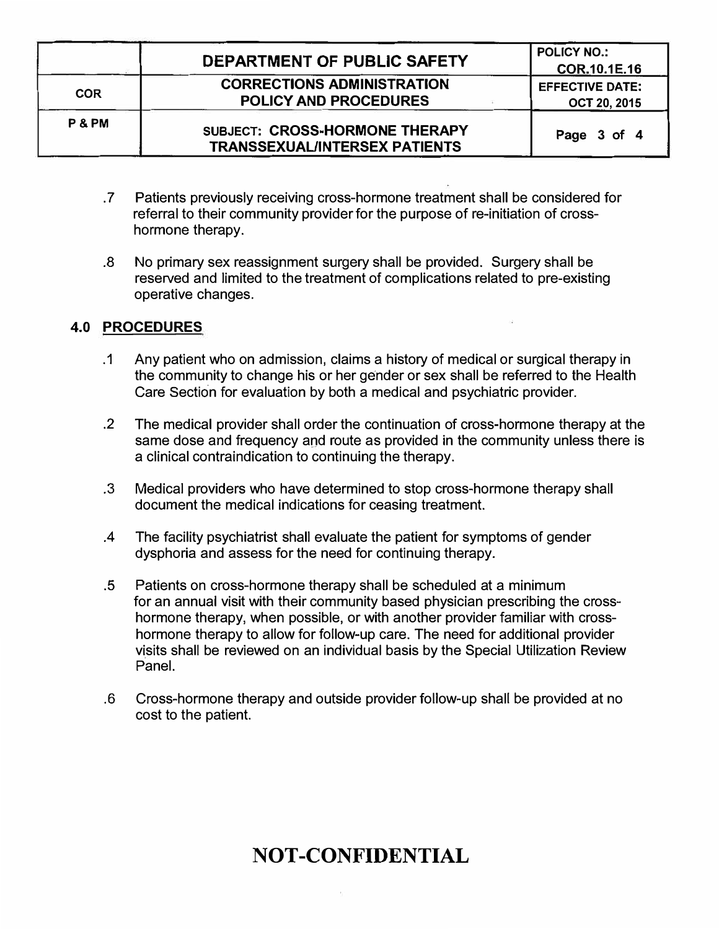|            | DEPARTMENT OF PUBLIC SAFETY                                            | <b>POLICY NO.:</b>     |
|------------|------------------------------------------------------------------------|------------------------|
|            |                                                                        | COR.10.1E.16           |
| <b>COR</b> | <b>CORRECTIONS ADMINISTRATION</b>                                      | <b>EFFECTIVE DATE:</b> |
|            | <b>POLICY AND PROCEDURES</b>                                           | <b>OCT 20, 2015</b>    |
| P & PM     | SUBJECT: CROSS-HORMONE THERAPY<br><b>TRANSSEXUAL/INTERSEX PATIENTS</b> | Page 3 of 4            |

- . 7 Patients previously receiving cross-hormone treatment shall be considered for referral to their community provider for the purpose of re-initiation of crosshormone therapy.
- . 8 No primary sex reassignment surgery shall be provided. Surgery shall be reserved and limited to the treatment of complications related to pre-existing operative changes.

## 4.0 PROCEDURES

- .1 Any patient who on admission, claims a history of medical or surgical therapy in the community to change his or her gender or sex shall be referred to the Health Care Section for evaluation by both a medical and psychiatric provider .
- . 2 The medical provider shall order the continuation of cross-hormone therapy at the same dose and frequency and route as provided in the community unless there is a clinical contraindication to continuing the therapy .
- . 3 Medical providers who have determined to stop cross-hormone therapy shall document the medical indications for ceasing treatment.
- .4 The facility psychiatrist shall evaluate the patient for symptoms of gender dysphoria and assess for the need for continuing therapy.
- . 5 Patients on cross-hormone therapy shall be scheduled at a minimum for an annual visit with their community based physician prescribing the crosshormone therapy, when possible, or with another provider familiar with crosshormone therapy to allow for follow-up care. The need for additional provider visits shall be reviewed on an individual basis by the Special Utilization Review Panel.
- .6 Cross-hormone therapy and outside provider follow-up shall be provided at no cost to the patient.